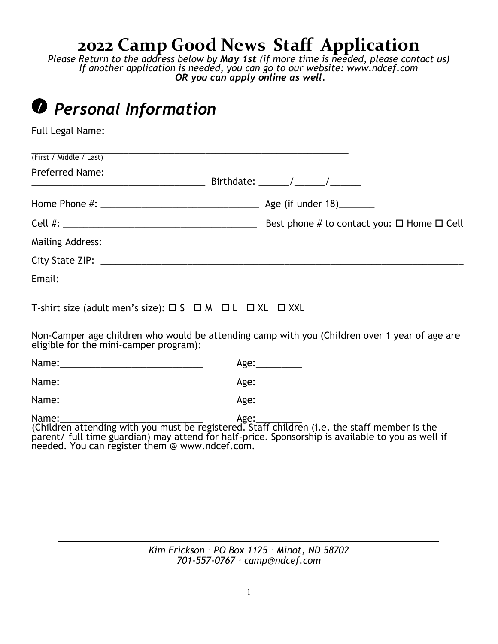# **2022 Camp Good News Staff Application**

*Please Return to the address below by May 1st (if more time is needed, please contact us) If another application is needed, you can go to our website: www.ndcef.com OR you can apply online as well.*

| <b><i>O</i></b> Personal Information                                                                                                    |                 |                 |  |
|-----------------------------------------------------------------------------------------------------------------------------------------|-----------------|-----------------|--|
| Full Legal Name:                                                                                                                        |                 |                 |  |
| (First / Middle / Last)                                                                                                                 |                 |                 |  |
| <b>Preferred Name:</b>                                                                                                                  |                 |                 |  |
|                                                                                                                                         |                 |                 |  |
| Cell #: $\frac{1}{2}$ Best phone # to contact you: $\Box$ Home $\Box$ Cell                                                              |                 |                 |  |
|                                                                                                                                         |                 |                 |  |
|                                                                                                                                         |                 |                 |  |
|                                                                                                                                         |                 |                 |  |
| T-shirt size (adult men's size): $\Box$ S $\Box$ M $\Box$ L $\Box$ XL $\Box$ XXL                                                        |                 |                 |  |
| Non-Camper age children who would be attending camp with you (Children over 1 year of age are<br>eligible for the mini-camper program): |                 |                 |  |
|                                                                                                                                         |                 | Age:__________  |  |
|                                                                                                                                         |                 | Age:___________ |  |
|                                                                                                                                         | Age:___________ |                 |  |
|                                                                                                                                         |                 |                 |  |

*Kim Erickson · PO Box 1125 · Minot, ND 58702 701-557-0767 · camp@ndcef.com*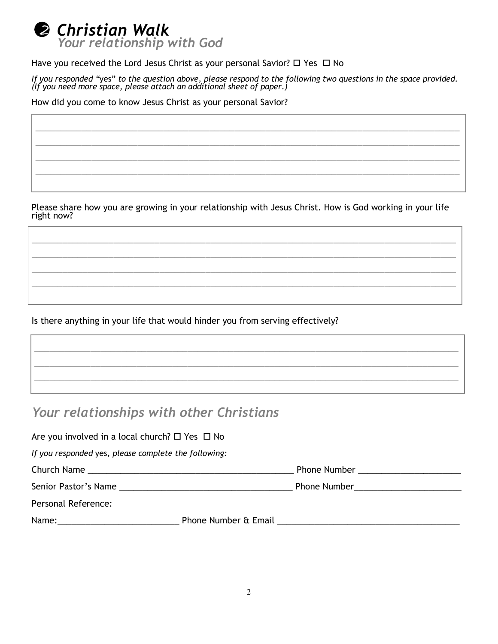

Have you received the Lord Jesus Christ as your personal Savior?  $\Box$  Yes  $\Box$  No

*If you responded "*yes" *to the question above, please respond to the following two questions in the space provided. (If you need more space, please attach an additional sheet of paper.)*

\_\_\_\_\_\_\_\_\_\_\_\_\_\_\_\_\_\_\_\_\_\_\_\_\_\_\_\_\_\_\_\_\_\_\_\_\_\_\_\_\_\_\_\_\_\_\_\_\_\_\_\_\_\_\_\_\_\_\_\_\_\_\_\_\_\_\_\_\_\_\_\_\_\_\_\_\_\_\_\_\_\_\_ \_\_\_\_\_\_\_\_\_\_\_\_\_\_\_\_\_\_\_\_\_\_\_\_\_\_\_\_\_\_\_\_\_\_\_\_\_\_\_\_\_\_\_\_\_\_\_\_\_\_\_\_\_\_\_\_\_\_\_\_\_\_\_\_\_\_\_\_\_\_\_\_\_\_\_\_\_\_\_\_\_\_\_ \_\_\_\_\_\_\_\_\_\_\_\_\_\_\_\_\_\_\_\_\_\_\_\_\_\_\_\_\_\_\_\_\_\_\_\_\_\_\_\_\_\_\_\_\_\_\_\_\_\_\_\_\_\_\_\_\_\_\_\_\_\_\_\_\_\_\_\_\_\_\_\_\_\_\_\_\_\_\_\_\_\_\_ \_\_\_\_\_\_\_\_\_\_\_\_\_\_\_\_\_\_\_\_\_\_\_\_\_\_\_\_\_\_\_\_\_\_\_\_\_\_\_\_\_\_\_\_\_\_\_\_\_\_\_\_\_\_\_\_\_\_\_\_\_\_\_\_\_\_\_\_\_\_\_\_\_\_\_\_\_\_\_\_\_\_\_

How did you come to know Jesus Christ as your personal Savior?

Please share how you are growing in your relationship with Jesus Christ. How is God working in your life right now?

\_\_\_\_\_\_\_\_\_\_\_\_\_\_\_\_\_\_\_\_\_\_\_\_\_\_\_\_\_\_\_\_\_\_\_\_\_\_\_\_\_\_\_\_\_\_\_\_\_\_\_\_\_\_\_\_\_\_\_\_\_\_\_\_\_\_\_\_\_\_\_\_\_\_\_\_\_\_\_\_\_\_\_ \_\_\_\_\_\_\_\_\_\_\_\_\_\_\_\_\_\_\_\_\_\_\_\_\_\_\_\_\_\_\_\_\_\_\_\_\_\_\_\_\_\_\_\_\_\_\_\_\_\_\_\_\_\_\_\_\_\_\_\_\_\_\_\_\_\_\_\_\_\_\_\_\_\_\_\_\_\_\_\_\_\_\_ \_\_\_\_\_\_\_\_\_\_\_\_\_\_\_\_\_\_\_\_\_\_\_\_\_\_\_\_\_\_\_\_\_\_\_\_\_\_\_\_\_\_\_\_\_\_\_\_\_\_\_\_\_\_\_\_\_\_\_\_\_\_\_\_\_\_\_\_\_\_\_\_\_\_\_\_\_\_\_\_\_\_\_ \_\_\_\_\_\_\_\_\_\_\_\_\_\_\_\_\_\_\_\_\_\_\_\_\_\_\_\_\_\_\_\_\_\_\_\_\_\_\_\_\_\_\_\_\_\_\_\_\_\_\_\_\_\_\_\_\_\_\_\_\_\_\_\_\_\_\_\_\_\_\_\_\_\_\_\_\_\_\_\_\_\_\_

\_\_\_\_\_\_\_\_\_\_\_\_\_\_\_\_\_\_\_\_\_\_\_\_\_\_\_\_\_\_\_\_\_\_\_\_\_\_\_\_\_\_\_\_\_\_\_\_\_\_\_\_\_\_\_\_\_\_\_\_\_\_\_\_\_\_\_\_\_\_\_\_\_\_\_\_\_\_\_\_\_\_\_ \_\_\_\_\_\_\_\_\_\_\_\_\_\_\_\_\_\_\_\_\_\_\_\_\_\_\_\_\_\_\_\_\_\_\_\_\_\_\_\_\_\_\_\_\_\_\_\_\_\_\_\_\_\_\_\_\_\_\_\_\_\_\_\_\_\_\_\_\_\_\_\_\_\_\_\_\_\_\_\_\_\_\_ \_\_\_\_\_\_\_\_\_\_\_\_\_\_\_\_\_\_\_\_\_\_\_\_\_\_\_\_\_\_\_\_\_\_\_\_\_\_\_\_\_\_\_\_\_\_\_\_\_\_\_\_\_\_\_\_\_\_\_\_\_\_\_\_\_\_\_\_\_\_\_\_\_\_\_\_\_\_\_\_\_\_\_

Is there anything in your life that would hinder you from serving effectively?

## *Your relationships with other Christians*

| Are you involved in a local church? $\Box$ Yes $\Box$ No |  |                                                               |  |  |
|----------------------------------------------------------|--|---------------------------------------------------------------|--|--|
| If you responded yes, please complete the following:     |  |                                                               |  |  |
|                                                          |  | Phone Number ________________________                         |  |  |
|                                                          |  |                                                               |  |  |
| Personal Reference:                                      |  |                                                               |  |  |
|                                                          |  | Phone Number & Email <b>Example 2014</b> Phone Number & Email |  |  |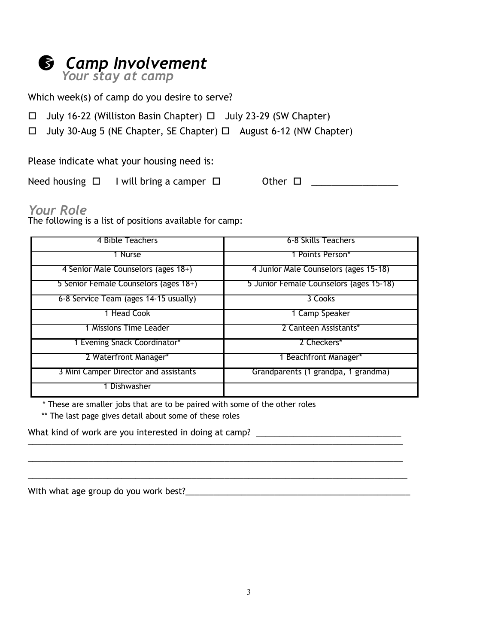#### *Camp Involvement* 3

*Your stay at camp*

Which week(s) of camp do you desire to serve?

 $\Box$  July 16-22 (Williston Basin Chapter)  $\Box$  July 23-29 (SW Chapter)

July 30-Aug 5 (NE Chapter, SE Chapter) August 6-12 (NW Chapter)

Please indicate what your housing need is:

Need housing  $\Box$  I will bring a camper  $\Box$  Other  $\Box$  \_\_\_\_\_\_\_\_\_\_\_\_\_\_\_\_\_\_\_\_\_\_\_\_\_

## *Your Role*

The following is a list of positions available for camp:

| 4 Bible Teachers                      | 6-8 Skills Teachers                     |
|---------------------------------------|-----------------------------------------|
| 1 Nurse                               | 1 Points Person*                        |
| 4 Senior Male Counselors (ages 18+)   | 4 Junior Male Counselors (ages 15-18)   |
| 5 Senior Female Counselors (ages 18+) | 5 Junior Female Counselors (ages 15-18) |
| 6-8 Service Team (ages 14-15 usually) | 3 Cooks                                 |
| 1 Head Cook                           | 1 Camp Speaker                          |
| 1 Missions Time Leader                | 2 Canteen Assistants*                   |
| 1 Evening Snack Coordinator*          | 2 Checkers*                             |
| 2 Waterfront Manager*                 | 1 Beachfront Manager*                   |
| 3 Mini Camper Director and assistants | Grandparents (1 grandpa, 1 grandma)     |
| Dishwasher                            |                                         |

\_\_\_\_\_\_\_\_\_\_\_\_\_\_\_\_\_\_\_\_\_\_\_\_\_\_\_\_\_\_\_\_\_\_\_\_\_\_\_\_\_\_\_\_\_\_\_\_\_\_\_\_\_\_\_\_\_\_\_\_\_\_\_\_\_\_\_\_\_\_\_\_\_\_\_\_\_\_\_\_

\* These are smaller jobs that are to be paired with some of the other roles

\*\* The last page gives detail about some of these roles

What kind of work are you interested in doing at camp? \_\_\_\_\_\_\_\_\_\_\_\_\_\_\_\_\_\_\_\_\_\_\_\_\_ \_\_\_\_\_\_\_\_\_\_\_\_\_\_\_\_\_\_\_\_\_\_\_\_\_\_\_\_\_\_\_\_\_\_\_\_\_\_\_\_\_\_\_\_\_\_\_\_\_\_\_\_\_\_\_\_\_\_\_\_\_\_\_\_\_\_\_\_\_\_\_\_\_\_\_\_\_\_\_\_

With what age group do you work best?\_\_\_\_\_\_\_\_\_\_\_\_\_\_\_\_\_\_\_\_\_\_\_\_\_\_\_\_\_\_\_\_\_\_\_\_\_\_\_\_\_\_\_\_\_\_\_\_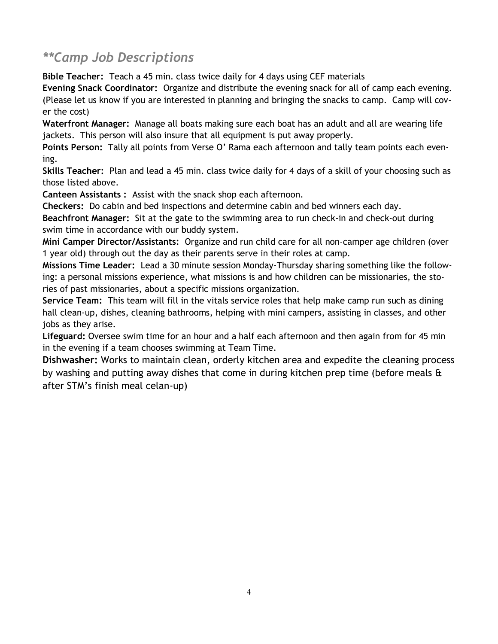# *\*\*Camp Job Descriptions*

**Bible Teacher:** Teach a 45 min. class twice daily for 4 days using CEF materials

**Evening Snack Coordinator:** Organize and distribute the evening snack for all of camp each evening. (Please let us know if you are interested in planning and bringing the snacks to camp. Camp will cover the cost)

**Waterfront Manager:** Manage all boats making sure each boat has an adult and all are wearing life jackets. This person will also insure that all equipment is put away properly.

**Points Person:** Tally all points from Verse O' Rama each afternoon and tally team points each evening.

**Skills Teacher:** Plan and lead a 45 min. class twice daily for 4 days of a skill of your choosing such as those listed above.

**Canteen Assistants :** Assist with the snack shop each afternoon.

**Checkers:** Do cabin and bed inspections and determine cabin and bed winners each day.

**Beachfront Manager:** Sit at the gate to the swimming area to run check-in and check-out during swim time in accordance with our buddy system.

**Mini Camper Director/Assistants:** Organize and run child care for all non-camper age children (over 1 year old) through out the day as their parents serve in their roles at camp.

**Missions Time Leader:** Lead a 30 minute session Monday-Thursday sharing something like the following: a personal missions experience, what missions is and how children can be missionaries, the stories of past missionaries, about a specific missions organization.

**Service Team:** This team will fill in the vitals service roles that help make camp run such as dining hall clean-up, dishes, cleaning bathrooms, helping with mini campers, assisting in classes, and other jobs as they arise.

**Lifeguard:** Oversee swim time for an hour and a half each afternoon and then again from for 45 min in the evening if a team chooses swimming at Team Time.

**Dishwasher:** Works to maintain clean, orderly kitchen area and expedite the cleaning process by washing and putting away dishes that come in during kitchen prep time (before meals & after STM's finish meal celan-up)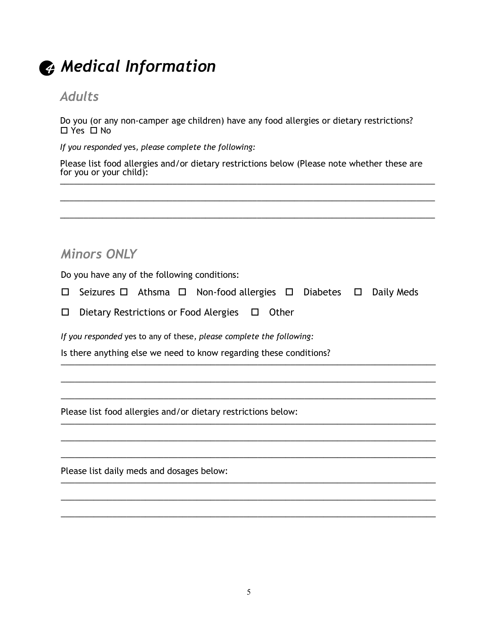

# 4 *Medical Information*

### *Adults*

Do you (or any non-camper age children) have any food allergies or dietary restrictions?  $\Box$  Yes  $\Box$  No

*If you responded* yes*, please complete the following:*

Please list food allergies and/or dietary restrictions below (Please note whether these are for you or your child):  $\frac{1}{2}$  ,  $\frac{1}{2}$  ,  $\frac{1}{2}$  ,  $\frac{1}{2}$  ,  $\frac{1}{2}$  ,  $\frac{1}{2}$  ,  $\frac{1}{2}$  ,  $\frac{1}{2}$  ,  $\frac{1}{2}$  ,  $\frac{1}{2}$  ,  $\frac{1}{2}$  ,  $\frac{1}{2}$  ,  $\frac{1}{2}$  ,  $\frac{1}{2}$  ,  $\frac{1}{2}$  ,  $\frac{1}{2}$  ,  $\frac{1}{2}$  ,  $\frac{1}{2}$  ,  $\frac{1$ 

\_\_\_\_\_\_\_\_\_\_\_\_\_\_\_\_\_\_\_\_\_\_\_\_\_\_\_\_\_\_\_\_\_\_\_\_\_\_\_\_\_\_\_\_\_\_\_\_\_\_\_\_\_\_\_\_\_\_\_\_\_\_\_\_\_\_\_\_\_\_\_\_\_\_\_\_\_\_\_\_

\_\_\_\_\_\_\_\_\_\_\_\_\_\_\_\_\_\_\_\_\_\_\_\_\_\_\_\_\_\_\_\_\_\_\_\_\_\_\_\_\_\_\_\_\_\_\_\_\_\_\_\_\_\_\_\_\_\_\_\_\_\_\_\_\_\_\_\_\_\_\_\_\_\_\_\_\_\_\_\_

# *Minors ONLY*

Do you have any of the following conditions:

 $\Box$  Seizures  $\Box$  Athsma  $\Box$  Non-food allergies  $\Box$  Diabetes  $\Box$  Daily Meds

\_\_\_\_\_\_\_\_\_\_\_\_\_\_\_\_\_\_\_\_\_\_\_\_\_\_\_\_\_\_\_\_\_\_\_\_\_\_\_\_\_\_\_\_\_\_\_\_\_\_\_\_\_\_\_\_\_\_\_\_\_\_\_\_\_\_\_\_\_\_\_\_\_\_\_\_\_\_\_\_

\_\_\_\_\_\_\_\_\_\_\_\_\_\_\_\_\_\_\_\_\_\_\_\_\_\_\_\_\_\_\_\_\_\_\_\_\_\_\_\_\_\_\_\_\_\_\_\_\_\_\_\_\_\_\_\_\_\_\_\_\_\_\_\_\_\_\_\_\_\_\_\_\_\_\_\_\_\_\_\_

\_\_\_\_\_\_\_\_\_\_\_\_\_\_\_\_\_\_\_\_\_\_\_\_\_\_\_\_\_\_\_\_\_\_\_\_\_\_\_\_\_\_\_\_\_\_\_\_\_\_\_\_\_\_\_\_\_\_\_\_\_\_\_\_\_\_\_\_\_\_\_\_\_\_\_\_\_\_\_\_

\_\_\_\_\_\_\_\_\_\_\_\_\_\_\_\_\_\_\_\_\_\_\_\_\_\_\_\_\_\_\_\_\_\_\_\_\_\_\_\_\_\_\_\_\_\_\_\_\_\_\_\_\_\_\_\_\_\_\_\_\_\_\_\_\_\_\_\_\_\_\_\_\_\_\_\_\_\_\_\_

\_\_\_\_\_\_\_\_\_\_\_\_\_\_\_\_\_\_\_\_\_\_\_\_\_\_\_\_\_\_\_\_\_\_\_\_\_\_\_\_\_\_\_\_\_\_\_\_\_\_\_\_\_\_\_\_\_\_\_\_\_\_\_\_\_\_\_\_\_\_\_\_\_\_\_\_\_\_\_\_

\_\_\_\_\_\_\_\_\_\_\_\_\_\_\_\_\_\_\_\_\_\_\_\_\_\_\_\_\_\_\_\_\_\_\_\_\_\_\_\_\_\_\_\_\_\_\_\_\_\_\_\_\_\_\_\_\_\_\_\_\_\_\_\_\_\_\_\_\_\_\_\_\_\_\_\_\_\_\_\_

 $\square$  Dietary Restrictions or Food Alergies  $\square$  Other

*If you responded* yes to any of these*, please complete the following:*

Is there anything else we need to know regarding these conditions? \_\_\_\_\_\_\_\_\_\_\_\_\_\_\_\_\_\_\_\_\_\_\_\_\_\_\_\_\_\_\_\_\_\_\_\_\_\_\_\_\_\_\_\_\_\_\_\_\_\_\_\_\_\_\_\_\_\_\_\_\_\_\_\_\_\_\_\_\_\_\_\_\_\_\_\_\_\_\_\_

Please list food allergies and/or dietary restrictions below: \_\_\_\_\_\_\_\_\_\_\_\_\_\_\_\_\_\_\_\_\_\_\_\_\_\_\_\_\_\_\_\_\_\_\_\_\_\_\_\_\_\_\_\_\_\_\_\_\_\_\_\_\_\_\_\_\_\_\_\_\_\_\_\_\_\_\_\_\_\_\_\_\_\_\_\_\_\_\_\_

Please list daily meds and dosages below: \_\_\_\_\_\_\_\_\_\_\_\_\_\_\_\_\_\_\_\_\_\_\_\_\_\_\_\_\_\_\_\_\_\_\_\_\_\_\_\_\_\_\_\_\_\_\_\_\_\_\_\_\_\_\_\_\_\_\_\_\_\_\_\_\_\_\_\_\_\_\_\_\_\_\_\_\_\_\_\_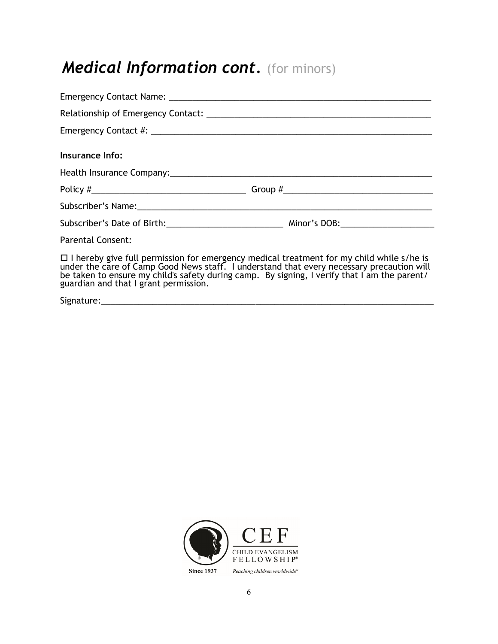# *Medical Information cont.* (for minors)

| Insurance Info:                                                                                                                                                                                                                                                                                                                       |  |
|---------------------------------------------------------------------------------------------------------------------------------------------------------------------------------------------------------------------------------------------------------------------------------------------------------------------------------------|--|
|                                                                                                                                                                                                                                                                                                                                       |  |
|                                                                                                                                                                                                                                                                                                                                       |  |
|                                                                                                                                                                                                                                                                                                                                       |  |
|                                                                                                                                                                                                                                                                                                                                       |  |
| <b>Parental Consent:</b>                                                                                                                                                                                                                                                                                                              |  |
| $\Box$ I hereby give full permission for emergency medical treatment for my child while s/he is<br>under the care of Camp Good News staff. I understand that every necessary precaution will<br>be taken to ensure my child's safety during camp. By signing, I verify that I am the parent/<br>guardian and that I grant permission. |  |
|                                                                                                                                                                                                                                                                                                                                       |  |

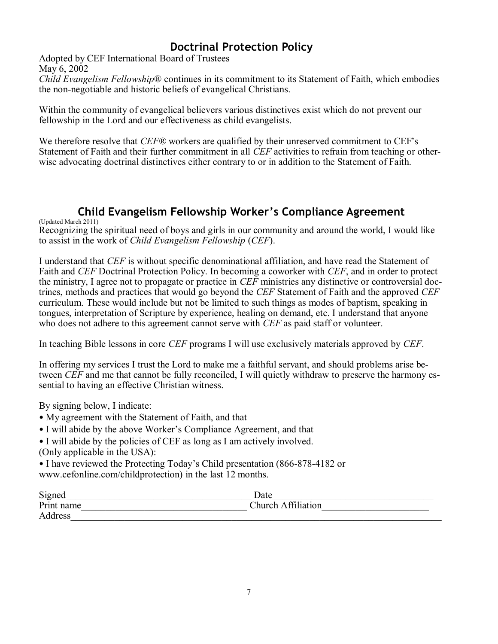### **Doctrinal Protection Policy**

Adopted by CEF International Board of Trustees May 6, 2002

*Child Evangelism Fellowship*® continues in its commitment to its Statement of Faith, which embodies the non-negotiable and historic beliefs of evangelical Christians.

Within the community of evangelical believers various distinctives exist which do not prevent our fellowship in the Lord and our effectiveness as child evangelists.

We therefore resolve that *CEF®* workers are qualified by their unreserved commitment to CEF's Statement of Faith and their further commitment in all *CEF* activities to refrain from teaching or otherwise advocating doctrinal distinctives either contrary to or in addition to the Statement of Faith.

#### **Child Evangelism Fellowship Worker's Compliance Agreement**

(Updated March 2011)

Recognizing the spiritual need of boys and girls in our community and around the world, I would like to assist in the work of *Child Evangelism Fellowship* (*CEF*).

I understand that *CEF* is without specific denominational affiliation, and have read the Statement of Faith and *CEF* Doctrinal Protection Policy. In becoming a coworker with *CEF*, and in order to protect the ministry, I agree not to propagate or practice in *CEF* ministries any distinctive or controversial doctrines, methods and practices that would go beyond the *CEF* Statement of Faith and the approved *CEF*  curriculum. These would include but not be limited to such things as modes of baptism, speaking in tongues, interpretation of Scripture by experience, healing on demand, etc. I understand that anyone who does not adhere to this agreement cannot serve with *CEF* as paid staff or volunteer.

In teaching Bible lessons in core *CEF* programs I will use exclusively materials approved by *CEF*.

In offering my services I trust the Lord to make me a faithful servant, and should problems arise between *CEF* and me that cannot be fully reconciled, I will quietly withdraw to preserve the harmony essential to having an effective Christian witness.

By signing below, I indicate:

- My agreement with the Statement of Faith, and that
- I will abide by the above Worker's Compliance Agreement, and that

• I will abide by the policies of CEF as long as I am actively involved. (Only applicable in the USA):

• I have reviewed the Protecting Today's Child presentation (866-878-4182 or www.cefonline.com/childprotection) in the last 12 months.

| Signed     | Date                  |
|------------|-----------------------|
| Print name | Affiliation<br>Church |
| Address    |                       |